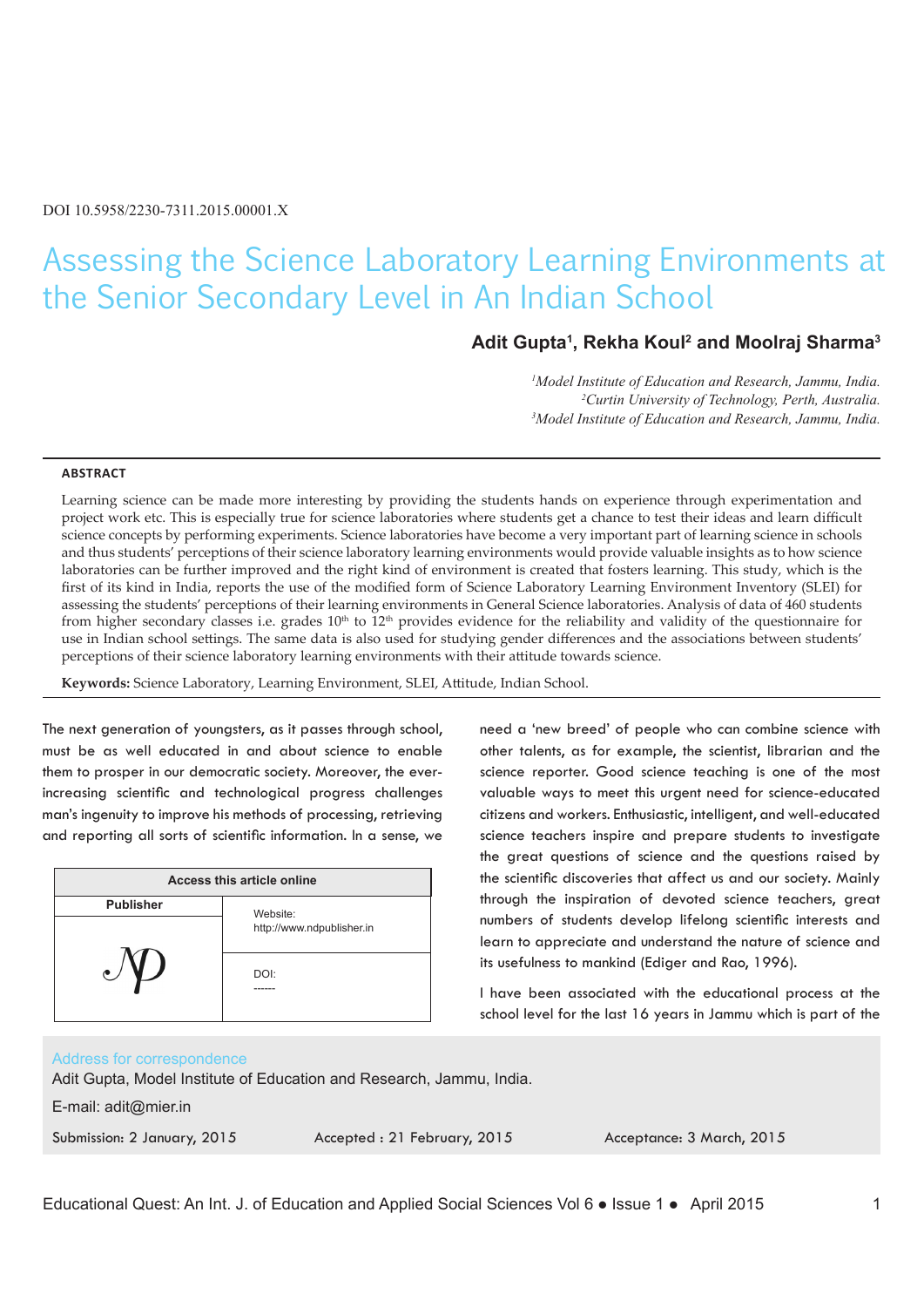# Assessing the Science Laboratory Learning Environments at the Senior Secondary Level in An Indian School

# **Adit Gupta1 , Rekha Koul2 and Moolraj Sharma3**

need a 'new breed' of people who can combine science with other talents, as for example, the scientist, librarian and the science reporter. Good science teaching is one of the most valuable ways to meet this urgent need for science-educated citizens and workers. Enthusiastic, intelligent, and well-educated science teachers inspire and prepare students to investigate the great questions of science and the questions raised by the scientific discoveries that affect us and our society. Mainly through the inspiration of devoted science teachers, great numbers of students develop lifelong scientific interests and learn to appreciate and understand the nature of science and

its usefulness to mankind (Ediger and Rao, 1996).

*1 Model Institute of Education and Research, Jammu, India. 2* <sup>2</sup> Curtin University of Technology, Perth, Australia. *Model Institute of Education and Research, Jammu, India.*

#### **ABSTRACT**

Learning science can be made more interesting by providing the students hands on experience through experimentation and project work etc. This is especially true for science laboratories where students get a chance to test their ideas and learn difficult science concepts by performing experiments. Science laboratories have become a very important part of learning science in schools and thus students' perceptions of their science laboratory learning environments would provide valuable insights as to how science laboratories can be further improved and the right kind of environment is created that fosters learning. This study, which is the first of its kind in India, reports the use of the modified form of Science Laboratory Learning Environment Inventory (SLEI) for assessing the students' perceptions of their learning environments in General Science laboratories. Analysis of data of 460 students from higher secondary classes i.e. grades  $10<sup>th</sup>$  to  $12<sup>th</sup>$  provides evidence for the reliability and validity of the questionnaire for use in Indian school settings. The same data is also used for studying gender differences and the associations between students' perceptions of their science laboratory learning environments with their attitude towards science.

**Keywords:** Science Laboratory, Learning Environment, SLEI, Attitude, Indian School.

The next generation of youngsters, as it passes through school, must be as well educated in and about science to enable them to prosper in our democratic society. Moreover, the everincreasing scientific and technological progress challenges man's ingenuity to improve his methods of processing, retrieving and reporting all sorts of scientific information. In a sense, we

| Access this article online |                                       |  |  |
|----------------------------|---------------------------------------|--|--|
| <b>Publisher</b>           | Website:<br>http://www.ndpublisher.in |  |  |
|                            | DOI:                                  |  |  |

#### Address for correspondence

Adit Gupta, Model Institute of Education and Research, Jammu, India.

E-mail: adit@mier.in

Submission: 2 January, 2015 Accepted : 21 February, 2015 Acceptance: 3 March, 2015

I have been associated with the educational process at the school level for the last 16 years in Jammu which is part of the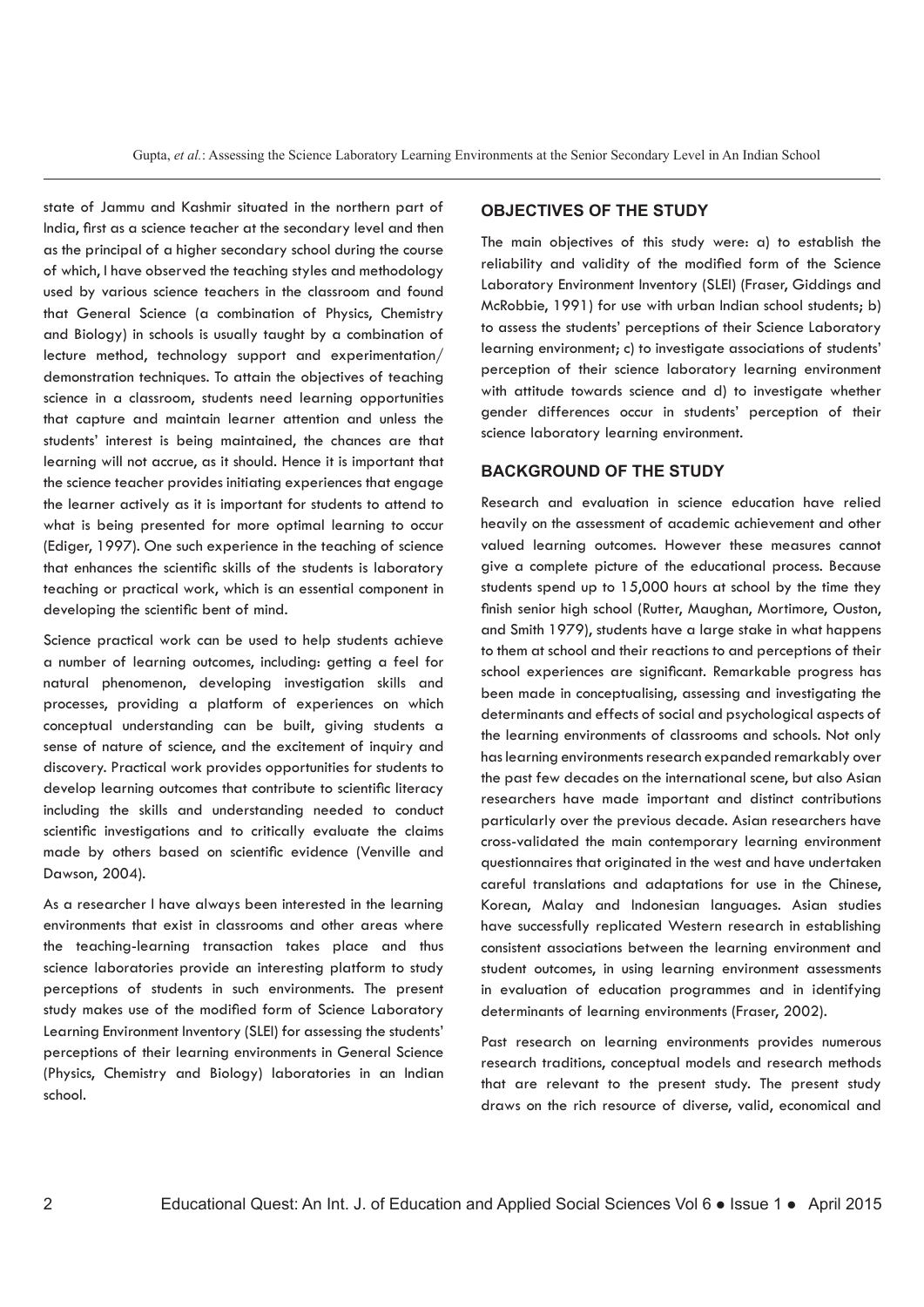state of Jammu and Kashmir situated in the northern part of India, first as a science teacher at the secondary level and then as the principal of a higher secondary school during the course of which, I have observed the teaching styles and methodology used by various science teachers in the classroom and found that General Science (a combination of Physics, Chemistry and Biology) in schools is usually taught by a combination of lecture method, technology support and experimentation/ demonstration techniques. To attain the objectives of teaching science in a classroom, students need learning opportunities that capture and maintain learner attention and unless the students' interest is being maintained, the chances are that learning will not accrue, as it should. Hence it is important that the science teacher provides initiating experiences that engage the learner actively as it is important for students to attend to what is being presented for more optimal learning to occur (Ediger, 1997). One such experience in the teaching of science that enhances the scientific skills of the students is laboratory teaching or practical work, which is an essential component in developing the scientific bent of mind.

Science practical work can be used to help students achieve a number of learning outcomes, including: getting a feel for natural phenomenon, developing investigation skills and processes, providing a platform of experiences on which conceptual understanding can be built, giving students a sense of nature of science, and the excitement of inquiry and discovery. Practical work provides opportunities for students to develop learning outcomes that contribute to scientific literacy including the skills and understanding needed to conduct scientific investigations and to critically evaluate the claims made by others based on scientific evidence (Venville and Dawson, 2004).

As a researcher I have always been interested in the learning environments that exist in classrooms and other areas where the teaching-learning transaction takes place and thus science laboratories provide an interesting platform to study perceptions of students in such environments. The present study makes use of the modified form of Science Laboratory Learning Environment Inventory (SLEI) for assessing the students' perceptions of their learning environments in General Science (Physics, Chemistry and Biology) laboratories in an Indian school.

#### **OBJECTIVES OF THE STUDY**

The main objectives of this study were: a) to establish the reliability and validity of the modified form of the Science Laboratory Environment Inventory (SLEI) (Fraser, Giddings and McRobbie, 1991) for use with urban Indian school students; b) to assess the students' perceptions of their Science Laboratory learning environment; c) to investigate associations of students' perception of their science laboratory learning environment with attitude towards science and d) to investigate whether gender differences occur in students' perception of their science laboratory learning environment.

#### **BACKGROUND OF THE STUDY**

Research and evaluation in science education have relied heavily on the assessment of academic achievement and other valued learning outcomes. However these measures cannot give a complete picture of the educational process. Because students spend up to 15,000 hours at school by the time they finish senior high school (Rutter, Maughan, Mortimore, Ouston, and Smith 1979), students have a large stake in what happens to them at school and their reactions to and perceptions of their school experiences are significant. Remarkable progress has been made in conceptualising, assessing and investigating the determinants and effects of social and psychological aspects of the learning environments of classrooms and schools. Not only has learning environments research expanded remarkably over the past few decades on the international scene, but also Asian researchers have made important and distinct contributions particularly over the previous decade. Asian researchers have cross-validated the main contemporary learning environment questionnaires that originated in the west and have undertaken careful translations and adaptations for use in the Chinese, Korean, Malay and Indonesian languages. Asian studies have successfully replicated Western research in establishing consistent associations between the learning environment and student outcomes, in using learning environment assessments in evaluation of education programmes and in identifying determinants of learning environments (Fraser, 2002).

Past research on learning environments provides numerous research traditions, conceptual models and research methods that are relevant to the present study. The present study draws on the rich resource of diverse, valid, economical and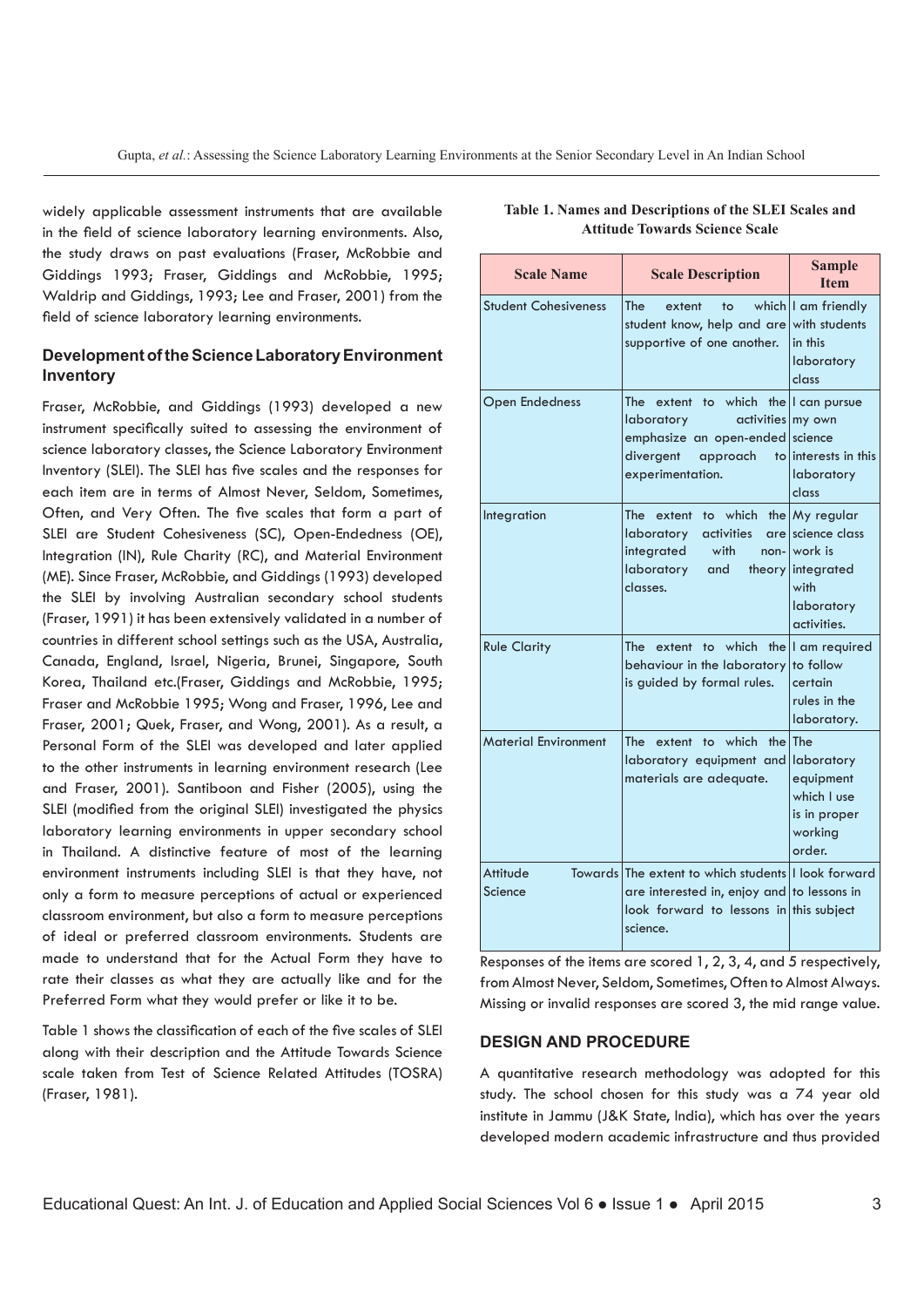widely applicable assessment instruments that are available in the field of science laboratory learning environments. Also, the study draws on past evaluations (Fraser, McRobbie and Giddings 1993; Fraser, Giddings and McRobbie, 1995; Waldrip and Giddings, 1993; Lee and Fraser, 2001) from the field of science laboratory learning environments.

# **Development of the Science Laboratory Environment Inventory**

Fraser, McRobbie, and Giddings (1993) developed a new instrument specifically suited to assessing the environment of science laboratory classes, the Science Laboratory Environment Inventory (SLEI). The SLEI has five scales and the responses for each item are in terms of Almost Never, Seldom, Sometimes, Often, and Very Often. The five scales that form a part of SLEI are Student Cohesiveness (SC), Open-Endedness (OE), Integration (IN), Rule Charity (RC), and Material Environment (ME). Since Fraser, McRobbie, and Giddings (1993) developed the SLEI by involving Australian secondary school students (Fraser, 1991) it has been extensively validated in a number of countries in different school settings such as the USA, Australia, Canada, England, Israel, Nigeria, Brunei, Singapore, South Korea, Thailand etc.(Fraser, Giddings and McRobbie, 1995; Fraser and McRobbie 1995; Wong and Fraser, 1996, Lee and Fraser, 2001; Quek, Fraser, and Wong, 2001). As a result, a Personal Form of the SLEI was developed and later applied to the other instruments in learning environment research (Lee and Fraser, 2001). Santiboon and Fisher (2005), using the SLEI (modified from the original SLEI) investigated the physics laboratory learning environments in upper secondary school in Thailand. A distinctive feature of most of the learning environment instruments including SLEI is that they have, not only a form to measure perceptions of actual or experienced classroom environment, but also a form to measure perceptions of ideal or preferred classroom environments. Students are made to understand that for the Actual Form they have to rate their classes as what they are actually like and for the Preferred Form what they would prefer or like it to be.

Table 1 shows the classification of each of the five scales of SLEI along with their description and the Attitude Towards Science scale taken from Test of Science Related Attitudes (TOSRA) (Fraser, 1981).

| <b>Scale Name</b>           | <b>Scale Description</b>                                                                                                                                           | <b>Sample</b><br><b>Item</b>                                                                       |
|-----------------------------|--------------------------------------------------------------------------------------------------------------------------------------------------------------------|----------------------------------------------------------------------------------------------------|
| <b>Student Cohesiveness</b> | <b>The</b><br>extent<br>to<br>student know, help and are<br>supportive of one another.                                                                             | which I am friendly<br>with students<br>in this<br>laboratory<br>class                             |
| <b>Open Endedness</b>       | to which the I can pursue<br><b>The</b><br>extent<br>activities my own<br>laboratory<br>emphasize an open-ended<br>divergent<br>approach<br>to<br>experimentation. | science<br>interests in this<br>laboratory<br>class                                                |
| Integration                 | <b>The</b><br>which<br>extent<br>to<br>laboratory<br>activities<br>integrated<br>with<br>non-<br>laboratory<br>and<br>theory<br>classes.                           | the My regular<br>are science class<br>work is<br> integrated<br>with<br>laboratory<br>activities. |
| <b>Rule Clarity</b>         | extent to which the<br><b>The</b><br>behaviour in the laboratory<br>is guided by formal rules.                                                                     | I am required<br>to follow<br>certain<br>rules in the<br>laboratory.                               |
| <b>Material Environment</b> | extent to which<br>the<br><b>The</b><br>laboratory equipment and<br>materials are adequate.                                                                        | The<br>laboratory<br>equipment<br>which I use<br>is in proper<br>working<br>order.                 |
| Attitude<br>Science         | Towards The extent to which students I look forward<br>are interested in, enjoy and to lessons in<br>look forward to lessons in this subject<br>science.           |                                                                                                    |

**Table 1. Names and Descriptions of the SLEI Scales and Attitude Towards Science Scale**

Responses of the items are scored 1, 2, 3, 4, and 5 respectively, from Almost Never, Seldom, Sometimes, Often to Almost Always. Missing or invalid responses are scored 3, the mid range value.

## **DESIGN AND PROCEDURE**

A quantitative research methodology was adopted for this study. The school chosen for this study was a 74 year old institute in Jammu (J&K State, India), which has over the years developed modern academic infrastructure and thus provided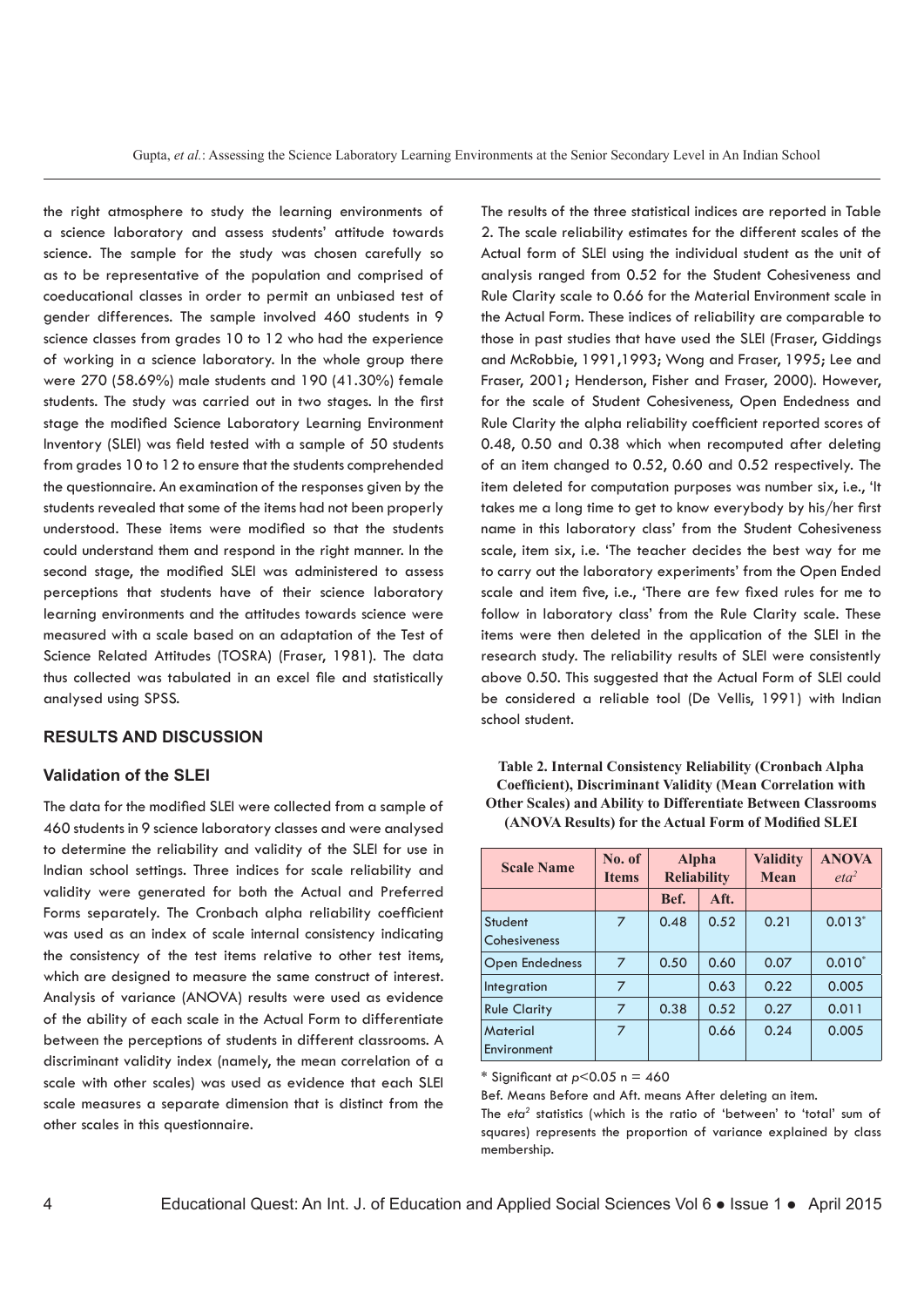the right atmosphere to study the learning environments of a science laboratory and assess students' attitude towards science. The sample for the study was chosen carefully so as to be representative of the population and comprised of coeducational classes in order to permit an unbiased test of gender differences. The sample involved 460 students in 9 science classes from grades 10 to 12 who had the experience of working in a science laboratory. In the whole group there were 270 (58.69%) male students and 190 (41.30%) female students. The study was carried out in two stages. In the first stage the modified Science Laboratory Learning Environment Inventory (SLEI) was field tested with a sample of 50 students from grades 10 to 12 to ensure that the students comprehended the questionnaire. An examination of the responses given by the students revealed that some of the items had not been properly understood. These items were modified so that the students could understand them and respond in the right manner. In the second stage, the modified SLEI was administered to assess perceptions that students have of their science laboratory learning environments and the attitudes towards science were measured with a scale based on an adaptation of the Test of Science Related Attitudes (TOSRA) (Fraser, 1981). The data thus collected was tabulated in an excel file and statistically analysed using SPSS.

#### **RESULTS AND DISCUSSION**

#### **Validation of the SLEI**

The data for the modified SLEI were collected from a sample of 460 students in 9 science laboratory classes and were analysed to determine the reliability and validity of the SLEI for use in Indian school settings. Three indices for scale reliability and validity were generated for both the Actual and Preferred Forms separately. The Cronbach alpha reliability coefficient was used as an index of scale internal consistency indicating the consistency of the test items relative to other test items, which are designed to measure the same construct of interest. Analysis of variance (ANOVA) results were used as evidence of the ability of each scale in the Actual Form to differentiate between the perceptions of students in different classrooms. A discriminant validity index (namely, the mean correlation of a scale with other scales) was used as evidence that each SLEI scale measures a separate dimension that is distinct from the other scales in this questionnaire.

2. The scale reliability estimates for the different scales of the Actual form of SLEI using the individual student as the unit of analysis ranged from 0.52 for the Student Cohesiveness and Rule Clarity scale to 0.66 for the Material Environment scale in the Actual Form. These indices of reliability are comparable to those in past studies that have used the SLEI (Fraser, Giddings and McRobbie, 1991,1993; Wong and Fraser, 1995; Lee and Fraser, 2001; Henderson, Fisher and Fraser, 2000). However, for the scale of Student Cohesiveness, Open Endedness and Rule Clarity the alpha reliability coefficient reported scores of 0.48, 0.50 and 0.38 which when recomputed after deleting of an item changed to 0.52, 0.60 and 0.52 respectively. The item deleted for computation purposes was number six, i.e., 'It takes me a long time to get to know everybody by his/her first name in this laboratory class' from the Student Cohesiveness scale, item six, i.e. 'The teacher decides the best way for me to carry out the laboratory experiments' from the Open Ended scale and item five, i.e., 'There are few fixed rules for me to follow in laboratory class' from the Rule Clarity scale. These items were then deleted in the application of the SLEI in the research study. The reliability results of SLEI were consistently above 0.50. This suggested that the Actual Form of SLEI could be considered a reliable tool (De Vellis, 1991) with Indian school student.

The results of the three statistical indices are reported in Table

| <b>Scale Name</b>       | No. of<br><b>Items</b> | <b>Alpha</b><br><b>Reliability</b> |      | <b>Validity</b><br><b>Mean</b> | <b>ANOVA</b><br>$eta^2$ |
|-------------------------|------------------------|------------------------------------|------|--------------------------------|-------------------------|
|                         |                        | Bef.                               | Aft. |                                |                         |
| Student<br>Cohesiveness | 7                      | 0.48                               | 0.52 | 0.21                           | $0.013*$                |
| <b>Open Endedness</b>   | 7                      | 0.50                               | 0.60 | 0.07                           | $0.010*$                |
| Integration             | 7                      |                                    | 0.63 | 0.22                           | 0.005                   |
| <b>Rule Clarity</b>     | 7                      | 0.38                               | 0.52 | 0.27                           | 0.011                   |
| Material<br>Environment | 7                      |                                    | 0.66 | 0.24                           | 0.005                   |

**Table 2. Internal Consistency Reliability (Cronbach Alpha Coefficient), Discriminant Validity (Mean Correlation with Other Scales) and Ability to Differentiate Between Classrooms (ANOVA Results) for the Actual Form of Modified SLEI**

\* Significant at *p*<0.05 n = 460

Bef. Means Before and Aft. means After deleting an item.

The *eta<sup>2</sup>* statistics (which is the ratio of 'between' to 'total' sum of squares) represents the proportion of variance explained by class membership.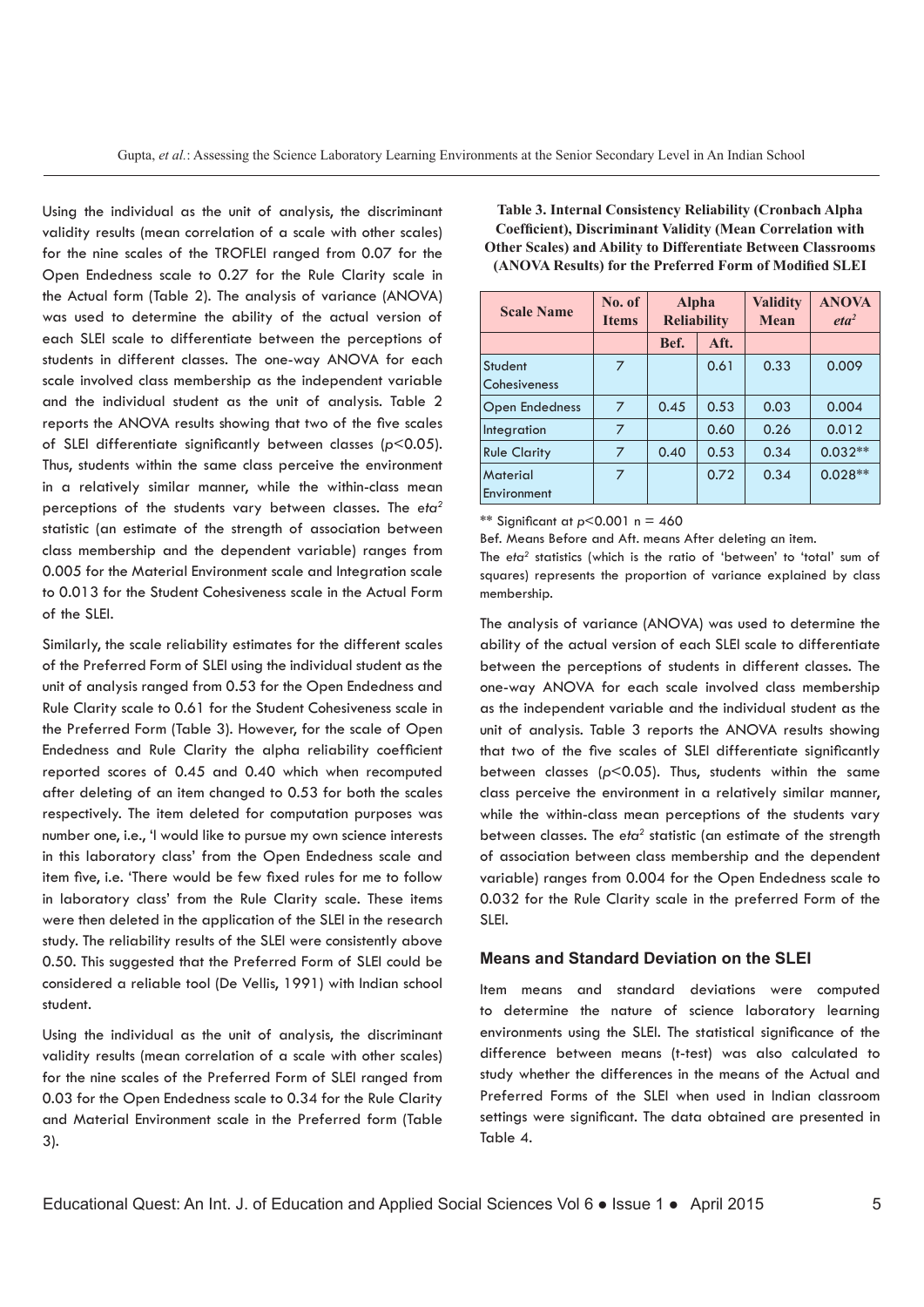Using the individual as the unit of analysis, the discriminant validity results (mean correlation of a scale with other scales) for the nine scales of the TROFLEI ranged from 0.07 for the Open Endedness scale to 0.27 for the Rule Clarity scale in the Actual form (Table 2). The analysis of variance (ANOVA) was used to determine the ability of the actual version of each SLEI scale to differentiate between the perceptions of students in different classes. The one-way ANOVA for each scale involved class membership as the independent variable and the individual student as the unit of analysis. Table 2 reports the ANOVA results showing that two of the five scales of SLEI differentiate significantly between classes (*p*<0.05). Thus, students within the same class perceive the environment in a relatively similar manner, while the within-class mean perceptions of the students vary between classes. The *eta2* statistic (an estimate of the strength of association between class membership and the dependent variable) ranges from 0.005 for the Material Environment scale and Integration scale to 0.013 for the Student Cohesiveness scale in the Actual Form of the SLEI.

Similarly, the scale reliability estimates for the different scales of the Preferred Form of SLEI using the individual student as the unit of analysis ranged from 0.53 for the Open Endedness and Rule Clarity scale to 0.61 for the Student Cohesiveness scale in the Preferred Form (Table 3). However, for the scale of Open Endedness and Rule Clarity the alpha reliability coefficient reported scores of 0.45 and 0.40 which when recomputed after deleting of an item changed to 0.53 for both the scales respectively. The item deleted for computation purposes was number one, i.e., 'I would like to pursue my own science interests in this laboratory class' from the Open Endedness scale and item five, i.e. 'There would be few fixed rules for me to follow in laboratory class' from the Rule Clarity scale. These items were then deleted in the application of the SLEI in the research study. The reliability results of the SLEI were consistently above 0.50. This suggested that the Preferred Form of SLEI could be considered a reliable tool (De Vellis, 1991) with Indian school student.

Using the individual as the unit of analysis, the discriminant validity results (mean correlation of a scale with other scales) for the nine scales of the Preferred Form of SLEI ranged from 0.03 for the Open Endedness scale to 0.34 for the Rule Clarity and Material Environment scale in the Preferred form (Table 3).

**Table 3. Internal Consistency Reliability (Cronbach Alpha Coefficient), Discriminant Validity (Mean Correlation with Other Scales) and Ability to Differentiate Between Classrooms (ANOVA Results) for the Preferred Form of Modified SLEI**

| <b>Scale Name</b>       | No. of<br><b>Items</b> | <b>Alpha</b><br><b>Reliability</b> |      | <b>Validity</b><br><b>Mean</b> | <b>ANOVA</b><br>eta <sup>2</sup> |
|-------------------------|------------------------|------------------------------------|------|--------------------------------|----------------------------------|
|                         |                        | Bef.<br>Aft.                       |      |                                |                                  |
| Student<br>Cohesiveness | 7                      |                                    | 0.61 | 0.33                           | 0.009                            |
| <b>Open Endedness</b>   | 7                      | 0.45                               | 0.53 | 0.03                           | 0.004                            |
| Integration             | 7                      |                                    | 0.60 | 0.26                           | 0.012                            |
| <b>Rule Clarity</b>     | 7                      | 0.40                               | 0.53 | 0.34                           | $0.032**$                        |
| Material<br>Environment | 7                      |                                    | 0.72 | 0.34                           | $0.028**$                        |

\*\* Significant at *p*<0.001 n = 460

Bef. Means Before and Aft. means After deleting an item.

The *eta2* statistics (which is the ratio of 'between' to 'total' sum of squares) represents the proportion of variance explained by class membership.

The analysis of variance (ANOVA) was used to determine the ability of the actual version of each SLEI scale to differentiate between the perceptions of students in different classes. The one-way ANOVA for each scale involved class membership as the independent variable and the individual student as the unit of analysis. Table 3 reports the ANOVA results showing that two of the five scales of SLEI differentiate significantly between classes (*p*<0.05). Thus, students within the same class perceive the environment in a relatively similar manner, while the within-class mean perceptions of the students vary between classes. The eta<sup>2</sup> statistic (an estimate of the strength of association between class membership and the dependent variable) ranges from 0.004 for the Open Endedness scale to 0.032 for the Rule Clarity scale in the preferred Form of the SLEI.

#### **Means and Standard Deviation on the SLEI**

Item means and standard deviations were computed to determine the nature of science laboratory learning environments using the SLEI. The statistical significance of the difference between means (t-test) was also calculated to study whether the differences in the means of the Actual and Preferred Forms of the SLEI when used in Indian classroom settings were significant. The data obtained are presented in Table 4.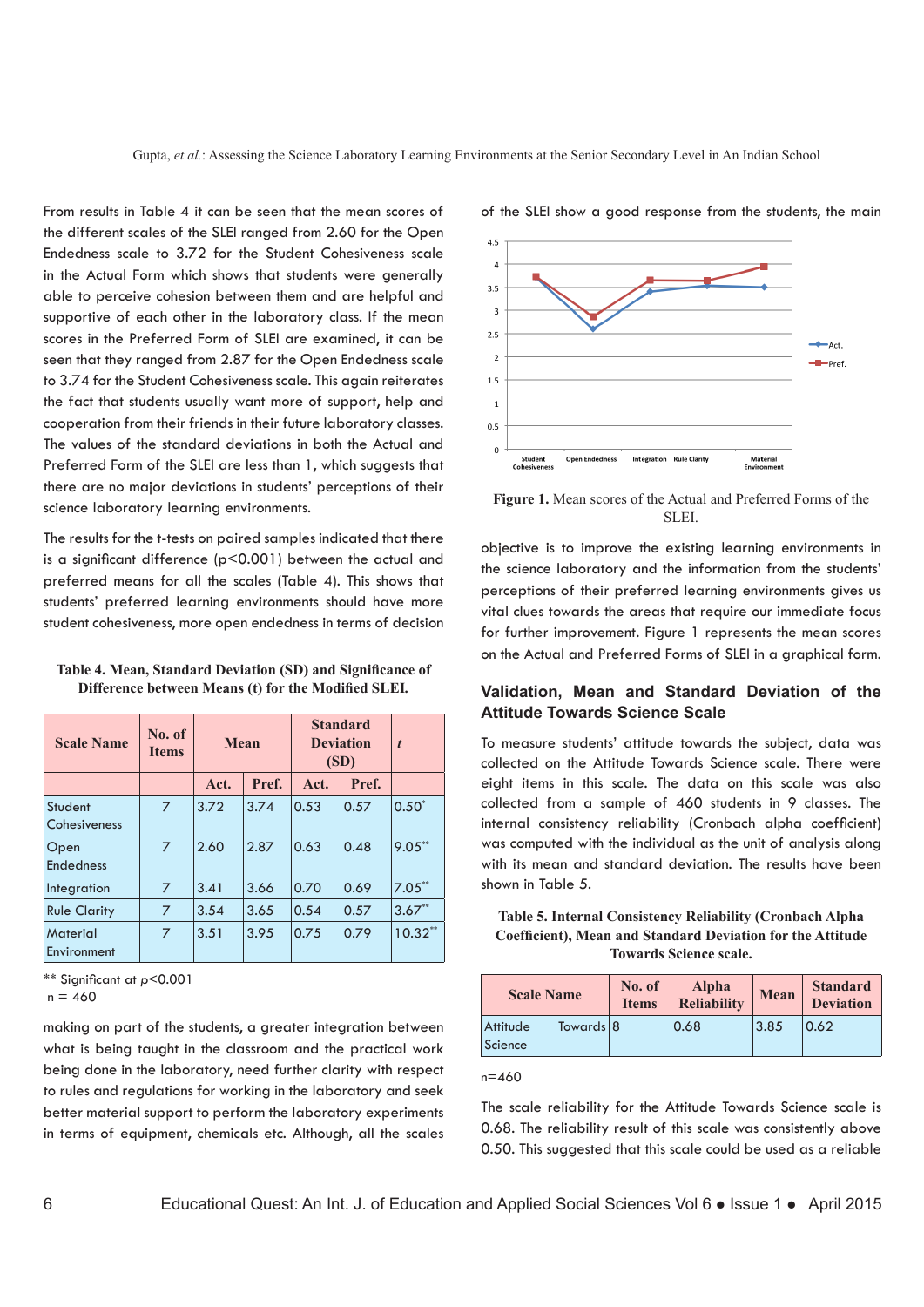From results in Table 4 it can be seen that the mean scores of the different scales of the SLEI ranged from 2.60 for the Open Endedness scale to 3.72 for the Student Cohesiveness scale in the Actual Form which shows that students were generally able to perceive cohesion between them and are helpful and supportive of each other in the laboratory class. If the mean scores in the Preferred Form of SLEI are examined, it can be seen that they ranged from 2.87 for the Open Endedness scale to 3.74 for the Student Cohesiveness scale. This again reiterates the fact that students usually want more of support, help and cooperation from their friends in their future laboratory classes. The values of the standard deviations in both the Actual and Preferred Form of the SLEI are less than 1, which suggests that there are no major deviations in students' perceptions of their science laboratory learning environments.

The results for the t-tests on paired samples indicated that there is a significant difference ( $p$ <0.001) between the actual and preferred means for all the scales (Table 4). This shows that students' preferred learning environments should have more student cohesiveness, more open endedness in terms of decision

**Table 4. Mean, Standard Deviation (SD) and Significance of Difference between Means (t) for the Modified SLEI***.*

| <b>Scale Name</b>              | No. of<br><b>Items</b> | Mean |       | <b>Standard</b><br><b>Deviation</b><br>(SD) |       | $\boldsymbol{t}$ |
|--------------------------------|------------------------|------|-------|---------------------------------------------|-------|------------------|
|                                |                        | Act. | Pref. | Act.                                        | Pref. |                  |
| Student<br>Cohesiveness        | $\overline{7}$         | 3.72 | 3.74  | 0.53                                        | 0.57  | $0.50*$          |
| Open<br><b>Endedness</b>       | $\overline{7}$         | 2.60 | 2.87  | 0.63                                        | 0.48  | $9.05***$        |
| Integration                    | $\overline{7}$         | 3.41 | 3.66  | 0.70                                        | 0.69  | $7.05**$         |
| <b>Rule Clarity</b>            | 7                      | 3.54 | 3.65  | 0.54                                        | 0.57  | $3.67**$         |
| <b>Material</b><br>Environment | 7                      | 3.51 | 3.95  | 0.75                                        | 0.79  | $10.32**$        |

\*\* Significant at *p*<0.001

 $n = 460$ 

making on part of the students, a greater integration between what is being taught in the classroom and the practical work being done in the laboratory, need further clarity with respect to rules and regulations for working in the laboratory and seek better material support to perform the laboratory experiments in terms of equipment, chemicals etc. Although, all the scales



of the SLEI show a good response from the students, the main

**Figure 1.** Mean scores of the Actual and Preferred Forms of the SLEI.

objective is to improve the existing learning environments in the science laboratory and the information from the students' perceptions of their preferred learning environments gives us vital clues towards the areas that require our immediate focus for further improvement. Figure 1 represents the mean scores on the Actual and Preferred Forms of SLEI in a graphical form.

### **Validation, Mean and Standard Deviation of the Attitude Towards Science Scale**

To measure students' attitude towards the subject, data was collected on the Attitude Towards Science scale. There were eight items in this scale. The data on this scale was also collected from a sample of 460 students in 9 classes. The internal consistency reliability (Cronbach alpha coefficient) was computed with the individual as the unit of analysis along with its mean and standard deviation. The results have been shown in Table 5.

**Table 5. Internal Consistency Reliability (Cronbach Alpha Coefficient), Mean and Standard Deviation for the Attitude Towards Science scale.**

| <b>Scale Name</b>                | No. of<br><b>Items</b> | Alpha<br><b>Reliability</b> | <b>Mean</b> | <b>Standard</b><br><b>Deviation</b> |
|----------------------------------|------------------------|-----------------------------|-------------|-------------------------------------|
| Towards 8<br>Attitude<br>Science |                        | 0.68                        | 3.85        | 0.62                                |

n=460

The scale reliability for the Attitude Towards Science scale is 0.68. The reliability result of this scale was consistently above 0.50. This suggested that this scale could be used as a reliable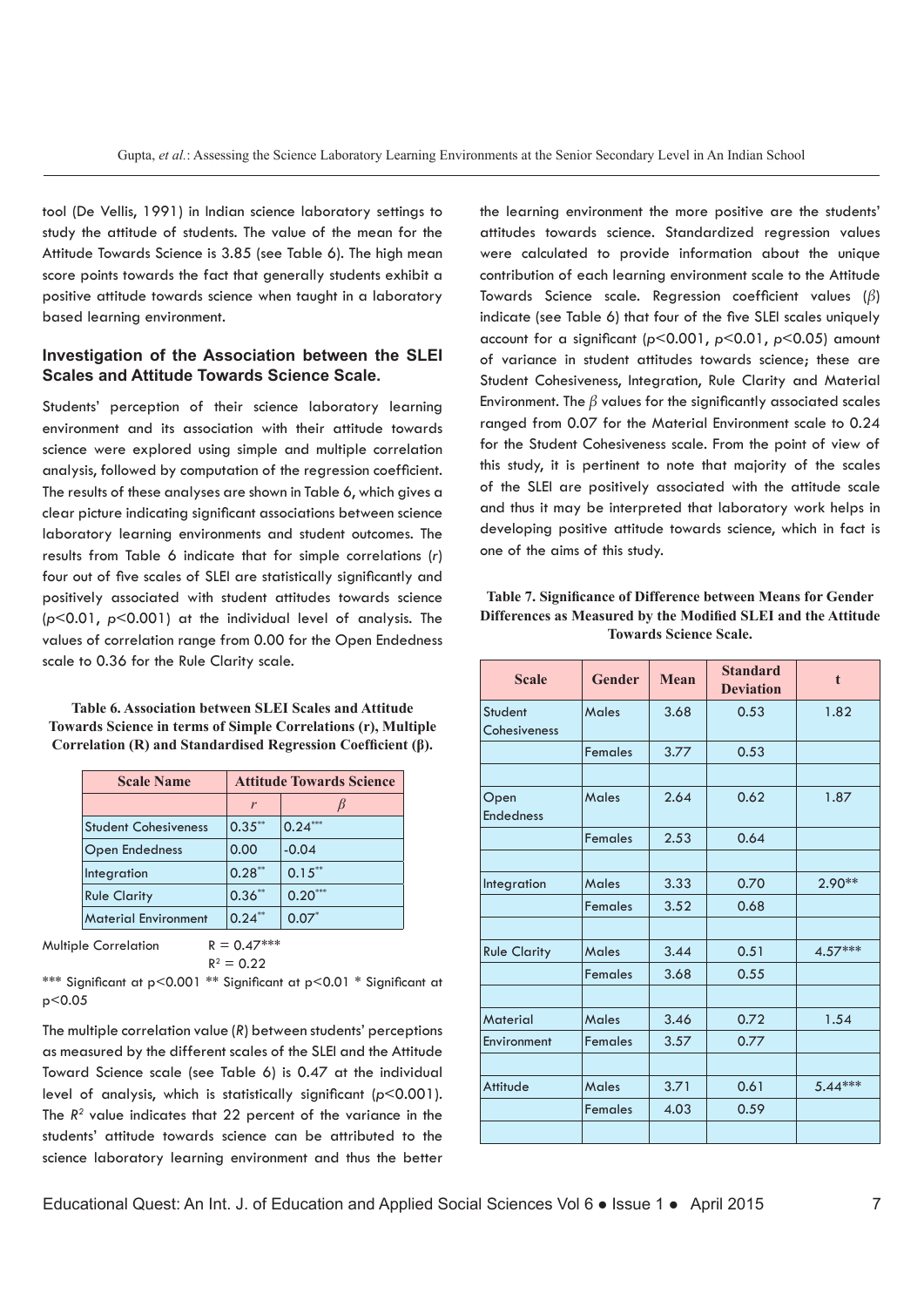tool (De Vellis, 1991) in Indian science laboratory settings to study the attitude of students. The value of the mean for the Attitude Towards Science is 3.85 (see Table 6). The high mean score points towards the fact that generally students exhibit a positive attitude towards science when taught in a laboratory based learning environment.

## **Investigation of the Association between the SLEI Scales and Attitude Towards Science Scale.**

Students' perception of their science laboratory learning environment and its association with their attitude towards science were explored using simple and multiple correlation analysis, followed by computation of the regression coefficient. The results of these analyses are shown in Table 6, which gives a clear picture indicating significant associations between science laboratory learning environments and student outcomes. The results from Table 6 indicate that for simple correlations (*r*) four out of five scales of SLEI are statistically significantly and positively associated with student attitudes towards science (*p*<0.01, *p*<0.001) at the individual level of analysis. The values of correlation range from 0.00 for the Open Endedness scale to 0.36 for the Rule Clarity scale.

**Table 6. Association between SLEI Scales and Attitude Towards Science in terms of Simple Correlations (r), Multiple Correlation (R) and Standardised Regression Coefficient (β).**

| <b>Scale Name</b>           | <b>Attitude Towards Science</b> |           |  |  |
|-----------------------------|---------------------------------|-----------|--|--|
|                             | r                               |           |  |  |
| <b>Student Cohesiveness</b> | $0.35***$                       | $0.24***$ |  |  |
| <b>Open Endedness</b>       | 0.00                            | $-0.04$   |  |  |
| Integration                 | $0.28**$                        | $0.15***$ |  |  |
| <b>Rule Clarity</b>         | $0.36**$                        | $0.20***$ |  |  |
| <b>Material Environment</b> | $0.24***$                       | $0.07*$   |  |  |

Multiple Correlation  $R = 0.47***$ 

 $R^2 = 0.22$ 

\*\*\* Significant at p<0.001 \*\* Significant at p<0.01 \* Significant at p<0.05

The multiple correlation value (*R*) between students' perceptions as measured by the different scales of the SLEI and the Attitude Toward Science scale (see Table 6) is 0.47 at the individual level of analysis, which is statistically significant (*p*<0.001). The *R2* value indicates that 22 percent of the variance in the students' attitude towards science can be attributed to the science laboratory learning environment and thus the better

the learning environment the more positive are the students' attitudes towards science. Standardized regression values were calculated to provide information about the unique contribution of each learning environment scale to the Attitude Towards Science scale. Regression coefficient values (*β*) indicate (see Table 6) that four of the five SLEI scales uniquely account for a significant (*p*<0.001, *p*<0.01, *p*<0.05) amount of variance in student attitudes towards science; these are Student Cohesiveness, Integration, Rule Clarity and Material Environment. The *β* values for the significantly associated scales ranged from 0.07 for the Material Environment scale to 0.24 for the Student Cohesiveness scale. From the point of view of this study, it is pertinent to note that majority of the scales of the SLEI are positively associated with the attitude scale and thus it may be interpreted that laboratory work helps in developing positive attitude towards science, which in fact is one of the aims of this study.

| Table 7. Significance of Difference between Means for Gender  |
|---------------------------------------------------------------|
| Differences as Measured by the Modified SLEI and the Attitude |
| <b>Towards Science Scale.</b>                                 |
|                                                               |

| <b>Scale</b>             | <b>Gender</b>  | Mean | <b>Standard</b><br><b>Deviation</b> | $\mathbf{t}$ |
|--------------------------|----------------|------|-------------------------------------|--------------|
| Student<br>Cohesiveness  | Males          | 3.68 | 0.53                                | 1.82         |
|                          | <b>Females</b> | 3.77 | 0.53                                |              |
|                          |                |      |                                     |              |
| Open<br><b>Endedness</b> | <b>Males</b>   | 2.64 | 0.62                                | 1.87         |
|                          | <b>Females</b> | 2.53 | 0.64                                |              |
|                          |                |      |                                     |              |
| Integration              | Males          | 3.33 | 0.70                                | $2.90**$     |
|                          | <b>Females</b> | 3.52 | 0.68                                |              |
|                          |                |      |                                     |              |
| <b>Rule Clarity</b>      | <b>Males</b>   | 3.44 | 0.51                                | 4.57***      |
|                          | <b>Females</b> | 3.68 | 0.55                                |              |
|                          |                |      |                                     |              |
| <b>Material</b>          | <b>Males</b>   | 3.46 | 0.72                                | 1.54         |
| Environment              | <b>Females</b> | 3.57 | 0.77                                |              |
|                          |                |      |                                     |              |
| Attitude                 | Males          | 3.71 | 0.61                                | $5.44***$    |
|                          | <b>Females</b> | 4.03 | 0.59                                |              |
|                          |                |      |                                     |              |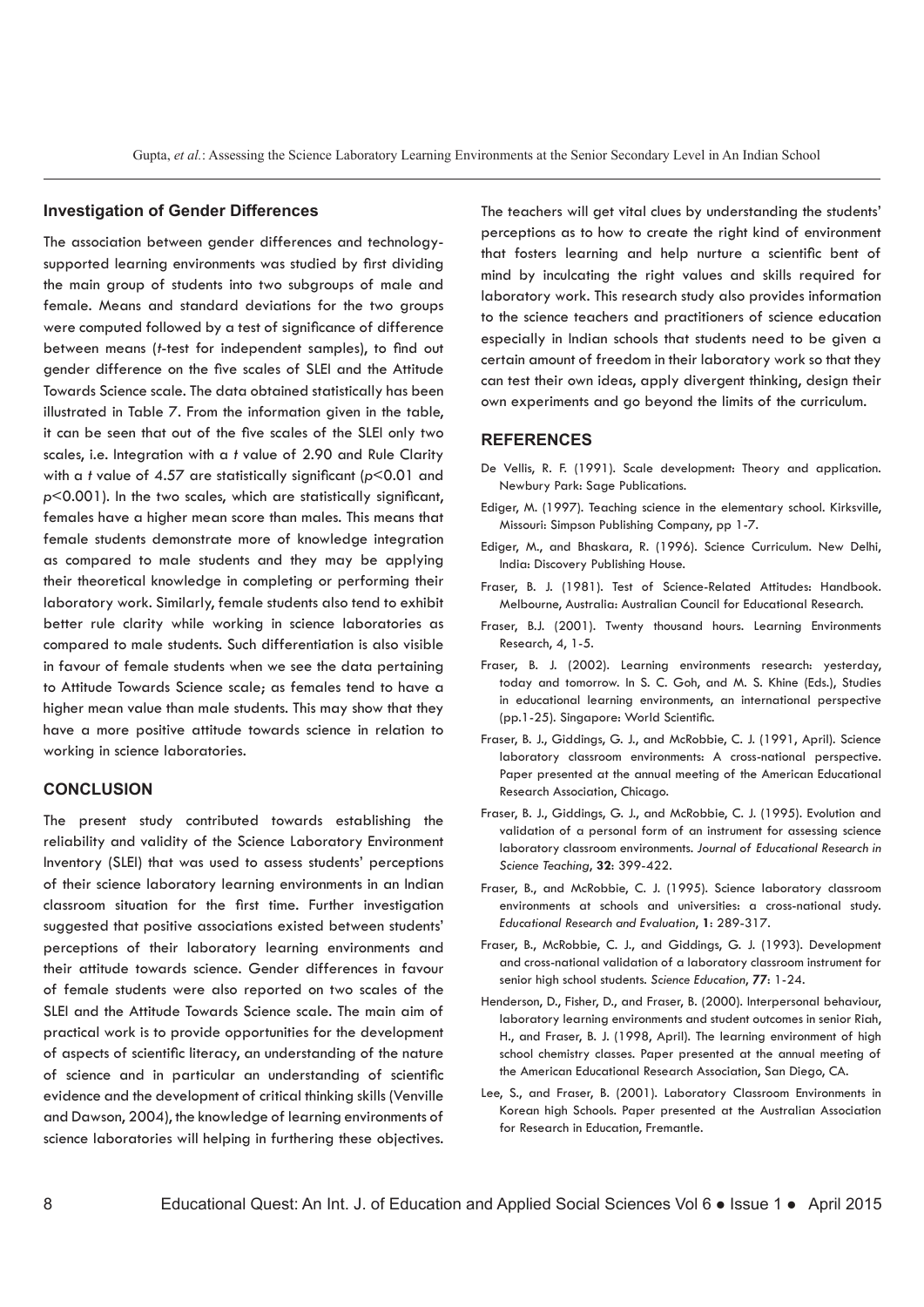#### **Investigation of Gender Differences**

The association between gender differences and technologysupported learning environments was studied by first dividing the main group of students into two subgroups of male and female. Means and standard deviations for the two groups were computed followed by a test of significance of difference between means (*t*-test for independent samples), to find out gender difference on the five scales of SLEI and the Attitude Towards Science scale. The data obtained statistically has been illustrated in Table 7. From the information given in the table, it can be seen that out of the five scales of the SLEI only two scales, i.e. Integration with a *t* value of 2.90 and Rule Clarity with a *t* value of 4.57 are statistically significant (*p*<0.01 and *p*<0.001). In the two scales, which are statistically significant, females have a higher mean score than males. This means that female students demonstrate more of knowledge integration as compared to male students and they may be applying their theoretical knowledge in completing or performing their laboratory work. Similarly, female students also tend to exhibit better rule clarity while working in science laboratories as compared to male students. Such differentiation is also visible in favour of female students when we see the data pertaining to Attitude Towards Science scale; as females tend to have a higher mean value than male students. This may show that they have a more positive attitude towards science in relation to working in science laboratories.

#### **CONCLUSION**

The present study contributed towards establishing the reliability and validity of the Science Laboratory Environment Inventory (SLEI) that was used to assess students' perceptions of their science laboratory learning environments in an Indian classroom situation for the first time. Further investigation suggested that positive associations existed between students' perceptions of their laboratory learning environments and their attitude towards science. Gender differences in favour of female students were also reported on two scales of the SLEI and the Attitude Towards Science scale. The main aim of practical work is to provide opportunities for the development of aspects of scientific literacy, an understanding of the nature of science and in particular an understanding of scientific evidence and the development of critical thinking skills (Venville and Dawson, 2004), the knowledge of learning environments of science laboratories will helping in furthering these objectives.

The teachers will get vital clues by understanding the students' perceptions as to how to create the right kind of environment that fosters learning and help nurture a scientific bent of mind by inculcating the right values and skills required for laboratory work. This research study also provides information to the science teachers and practitioners of science education especially in Indian schools that students need to be given a certain amount of freedom in their laboratory work so that they can test their own ideas, apply divergent thinking, design their own experiments and go beyond the limits of the curriculum.

#### **REFERENCES**

- De Vellis, R. F. (1991). Scale development: Theory and application. Newbury Park: Sage Publications.
- Ediger, M. (1997). Teaching science in the elementary school. Kirksville, Missouri: Simpson Publishing Company, pp 1-7.
- Ediger, M., and Bhaskara, R. (1996). Science Curriculum. New Delhi, India: Discovery Publishing House.
- Fraser, B. J. (1981). Test of Science-Related Attitudes: Handbook. Melbourne, Australia: Australian Council for Educational Research.
- Fraser, B.J. (2001). Twenty thousand hours. Learning Environments Research, 4, 1-5.
- Fraser, B. J. (2002). Learning environments research: yesterday, today and tomorrow. In S. C. Goh, and M. S. Khine (Eds.), Studies in educational learning environments, an international perspective (pp.1-25). Singapore: World Scientific.
- Fraser, B. J., Giddings, G. J., and McRobbie, C. J. (1991, April). Science laboratory classroom environments: A cross-national perspective. Paper presented at the annual meeting of the American Educational Research Association, Chicago.
- Fraser, B. J., Giddings, G. J., and McRobbie, C. J. (1995). Evolution and validation of a personal form of an instrument for assessing science laboratory classroom environments. *Journal of Educational Research in Science Teaching*, **32**: 399-422.
- Fraser, B., and McRobbie, C. J. (1995). Science laboratory classroom environments at schools and universities: a cross-national study. *Educational Research and Evaluation*, **1**: 289-317.
- Fraser, B., McRobbie, C. J., and Giddings, G. J. (1993). Development and cross-national validation of a laboratory classroom instrument for senior high school students. *Science Education*, *77*: 1-24.
- Henderson, D., Fisher, D., and Fraser, B. (2000). Interpersonal behaviour, laboratory learning environments and student outcomes in senior Riah, H., and Fraser, B. J. (1998, April). The learning environment of high school chemistry classes. Paper presented at the annual meeting of the American Educational Research Association, San Diego, CA.
- Lee, S., and Fraser, B. (2001). Laboratory Classroom Environments in Korean high Schools. Paper presented at the Australian Association for Research in Education, Fremantle.